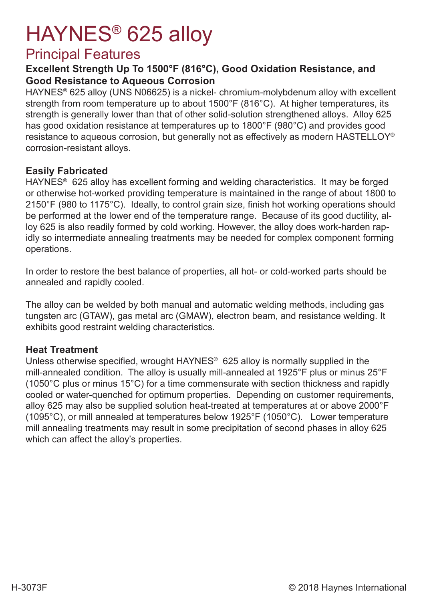# HAYNES® 625 alloy

### Principal Features

#### **Excellent Strength Up To 1500°F (816°C), Good Oxidation Resistance, and Good Resistance to Aqueous Corrosion**

HAYNES® 625 alloy (UNS N06625) is a nickel- chromium-molybdenum alloy with excellent strength from room temperature up to about 1500°F (816°C). At higher temperatures, its strength is generally lower than that of other solid-solution strengthened alloys. Alloy 625 has good oxidation resistance at temperatures up to 1800°F (980°C) and provides good resistance to aqueous corrosion, but generally not as effectively as modern HASTELLOY® corrosion-resistant alloys.

#### **Easily Fabricated**

HAYNES® 625 alloy has excellent forming and welding characteristics. It may be forged or otherwise hot-worked providing temperature is maintained in the range of about 1800 to 2150°F (980 to 1175°C). Ideally, to control grain size, finish hot working operations should be performed at the lower end of the temperature range. Because of its good ductility, alloy 625 is also readily formed by cold working. However, the alloy does work-harden rapidly so intermediate annealing treatments may be needed for complex component forming operations.

In order to restore the best balance of properties, all hot- or cold-worked parts should be annealed and rapidly cooled.

The alloy can be welded by both manual and automatic welding methods, including gas tungsten arc (GTAW), gas metal arc (GMAW), electron beam, and resistance welding. It exhibits good restraint welding characteristics.

#### **Heat Treatment**

Unless otherwise specified, wrought HAYNES<sup>®</sup> 625 alloy is normally supplied in the mill-annealed condition. The alloy is usually mill-annealed at 1925°F plus or minus 25°F (1050°C plus or minus 15°C) for a time commensurate with section thickness and rapidly cooled or water-quenched for optimum properties. Depending on customer requirements, alloy 625 may also be supplied solution heat-treated at temperatures at or above 2000°F (1095°C), or mill annealed at temperatures below 1925°F (1050°C). Lower temperature mill annealing treatments may result in some precipitation of second phases in alloy 625 which can affect the alloy's properties.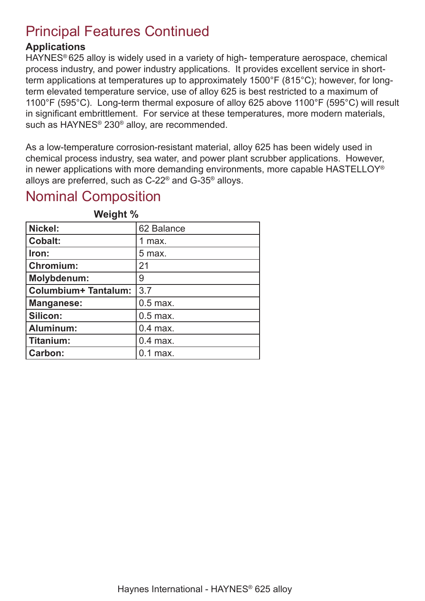### Principal Features Continued

#### **Applications**

HAYNES® 625 alloy is widely used in a variety of high- temperature aerospace, chemical process industry, and power industry applications. It provides excellent service in shortterm applications at temperatures up to approximately 1500°F (815°C); however, for longterm elevated temperature service, use of alloy 625 is best restricted to a maximum of 1100°F (595°C). Long-term thermal exposure of alloy 625 above 1100°F (595°C) will result in significant embrittlement. For service at these temperatures, more modern materials, such as HAYNES® 230® alloy, are recommended.

As a low-temperature corrosion-resistant material, alloy 625 has been widely used in chemical process industry, sea water, and power plant scrubber applications. However, in newer applications with more demanding environments, more capable HASTELLOY® alloys are preferred, such as C-22® and G-35® alloys.

### Nominal Composition

| Nickel:              | 62 Balance |
|----------------------|------------|
| <b>Cobalt:</b>       | 1 max.     |
| Iron:                | 5 max.     |
| <b>Chromium:</b>     | 21         |
| Molybdenum:          | 9          |
| Columbium+ Tantalum: | 3.7        |
| <b>Manganese:</b>    | $0.5$ max. |
| Silicon:             | $0.5$ max. |
| Aluminum:            | $0.4$ max. |
| Titanium:            | $0.4$ max. |
| <b>Carbon:</b>       | $0.1$ max. |

**Weight %**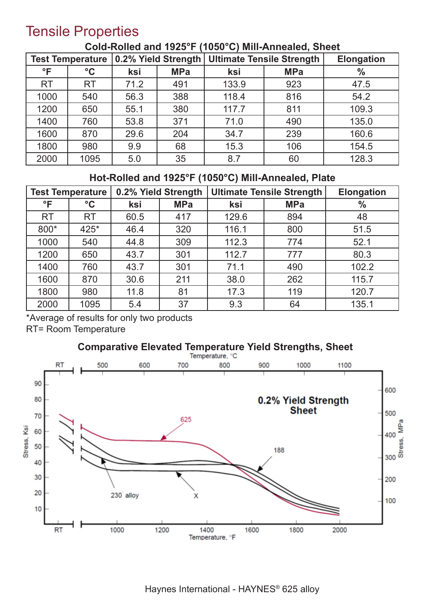### Tensile Properties

| 0.2% Yield Strength<br><b>Test Temperature</b> |                 |      |            | <b>Ultimate Tensile Strength</b> | <b>Elongation</b> |               |
|------------------------------------------------|-----------------|------|------------|----------------------------------|-------------------|---------------|
| $\mathsf{P}$                                   | $\rm ^{\circ}C$ | ksi  | <b>MPa</b> | ksi                              | <b>MPa</b>        | $\frac{0}{0}$ |
| <b>RT</b>                                      | <b>RT</b>       | 71.2 | 491        | 133.9                            | 923               | 47.5          |
| 1000                                           | 540             | 56.3 | 388        | 118.4                            | 816               | 54.2          |
| 1200                                           | 650             | 55.1 | 380        | 117.7                            | 811               | 109.3         |
| 1400                                           | 760             | 53.8 | 371        | 71.0                             | 490               | 135.0         |
| 1600                                           | 870             | 29.6 | 204        | 34.7                             | 239               | 160.6         |
| 1800                                           | 980             | 9.9  | 68         | 15.3                             | 106               | 154.5         |
| 2000                                           | 1095            | 5.0  | 35         | 8.7                              | 60                | 128.3         |

#### **Cold-Rolled and 1925°F (1050°C) Mill-Annealed, Sheet**

### **Hot-Rolled and 1925°F (1050°C) Mill-Annealed, Plate**

|              | <b>Test Temperature</b> | 0.2% Yield Strength |            | <b>Ultimate Tensile Strength</b> |            | <b>Elongation</b> |
|--------------|-------------------------|---------------------|------------|----------------------------------|------------|-------------------|
| $\mathsf{P}$ | $\rm ^{\circ}C$         | ksi                 | <b>MPa</b> | ksi                              | <b>MPa</b> | $\frac{0}{0}$     |
| <b>RT</b>    | <b>RT</b>               | 60.5                | 417        | 129.6                            | 894        | 48                |
| 800*         | 425*                    | 46.4                | 320        | 116.1                            | 800        | 51.5              |
| 1000         | 540                     | 44.8                | 309        | 112.3                            | 774        | 52.1              |
| 1200         | 650                     | 43.7                | 301        | 112.7                            | 777        | 80.3              |
| 1400         | 760                     | 43.7                | 301        | 71.1                             | 490        | 102.2             |
| 1600         | 870                     | 30.6                | 211        | 38.0                             | 262        | 115.7             |
| 1800         | 980                     | 11.8                | 81         | 17.3                             | 119        | 120.7             |
| 2000         | 1095                    | 5.4                 | 37         | 9.3                              | 64         | 135.1             |

\*Average of results for only two products

RT= Room Temperature



#### Haynes International - HAYNES® 625 alloy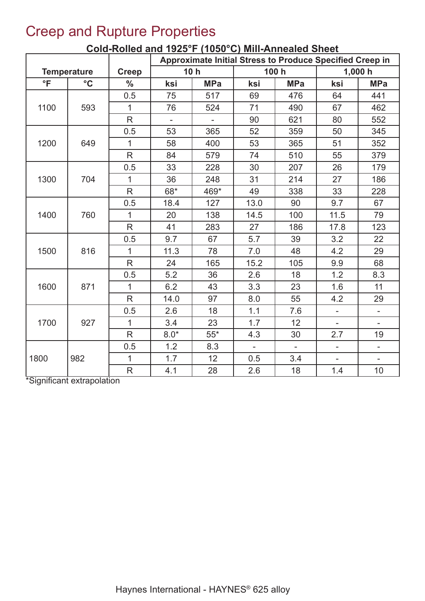### Creep and Rupture Properties

|                     |                    |               | Approximate Initial Stress to Produce Specified Creep in |                 |                |              |                          |                          |
|---------------------|--------------------|---------------|----------------------------------------------------------|-----------------|----------------|--------------|--------------------------|--------------------------|
|                     | <b>Temperature</b> | <b>Creep</b>  |                                                          | 10 <sub>h</sub> |                | 100 h        |                          | 1,000h                   |
| $\overline{\ }$ F   | $\rm ^{\circ}C$    | $\frac{0}{0}$ | ksi                                                      | <b>MPa</b>      | ksi            | <b>MPa</b>   | ksi                      | <b>MPa</b>               |
|                     |                    | 0.5           | 75                                                       | 517             | 69             | 476          | 64                       | 441                      |
| 1100                | 593                | $\mathbf{1}$  | 76                                                       | 524             | 71             | 490          | 67                       | 462                      |
|                     |                    | R             | $\overline{\phantom{0}}$                                 | ÷.              | 90             | 621          | 80                       | 552                      |
|                     |                    | 0.5           | 53                                                       | 365             | 52             | 359          | 50                       | 345                      |
| 1200                | 649                | $\mathbf{1}$  | 58                                                       | 400             | 53             | 365          | 51                       | 352                      |
|                     |                    | $\mathsf{R}$  | 84                                                       | 579             | 74             | 510          | 55                       | 379                      |
|                     |                    | 0.5           | 33                                                       | 228             | 30             | 207          | 26                       | 179                      |
| 1300                | 704                | $\mathbf{1}$  | 36                                                       | 248             | 31             | 214          | 27                       | 186                      |
|                     |                    | $\mathsf{R}$  | 68*                                                      | 469*            | 49             | 338          | 33                       | 228                      |
|                     |                    | 0.5           | 18.4                                                     | 127             | 13.0           | 90           | 9.7                      | 67                       |
| 1400                | 760                | $\mathbf{1}$  | 20                                                       | 138             | 14.5           | 100          | 11.5                     | 79                       |
|                     |                    | R             | 41                                                       | 283             | 27             | 186          | 17.8                     | 123                      |
|                     |                    | 0.5           | 9.7                                                      | 67              | 5.7            | 39           | 3.2                      | 22                       |
| 1500                | 816                | $\mathbf{1}$  | 11.3                                                     | 78              | 7.0            | 48           | 4.2                      | 29                       |
|                     |                    | $\mathsf{R}$  | 24                                                       | 165             | 15.2           | 105          | 9.9                      | 68                       |
|                     |                    | 0.5           | 5.2                                                      | 36              | 2.6            | 18           | 1.2                      | 8.3                      |
| 1600                | 871                | $\mathbf{1}$  | 6.2                                                      | 43              | 3.3            | 23           | 1.6                      | 11                       |
|                     |                    | R             | 14.0                                                     | 97              | 8.0            | 55           | 4.2                      | 29                       |
|                     |                    | 0.5           | 2.6                                                      | 18              | 1.1            | 7.6          | $\overline{\phantom{0}}$ | $\overline{\phantom{a}}$ |
| 1700                | 927                | $\mathbf{1}$  | 3.4                                                      | 23              | 1.7            | 12           |                          |                          |
|                     |                    | $\mathsf{R}$  | $8.0*$                                                   | $55*$           | 4.3            | 30           | 2.7                      | 19                       |
|                     |                    | 0.5           | 1.2                                                      | 8.3             | $\blacksquare$ | $\mathbf{r}$ | $\overline{\phantom{a}}$ | $\overline{\phantom{a}}$ |
| 1800                | 982                | $\mathbf{1}$  | 1.7                                                      | 12              | 0.5            | 3.4          | $\overline{\phantom{0}}$ | $\overline{\phantom{a}}$ |
| $\overline{\cdots}$ |                    | $\mathsf{R}$  | 4.1                                                      | 28              | 2.6            | 18           | 1.4                      | 10                       |

### **Cold-Rolled and 1925°F (1050°C) Mill-Annealed Sheet**

\*Significant extrapolation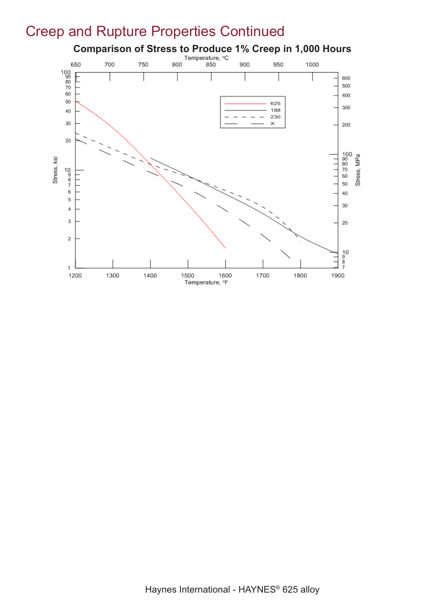### Creep and Rupture Properties Continued

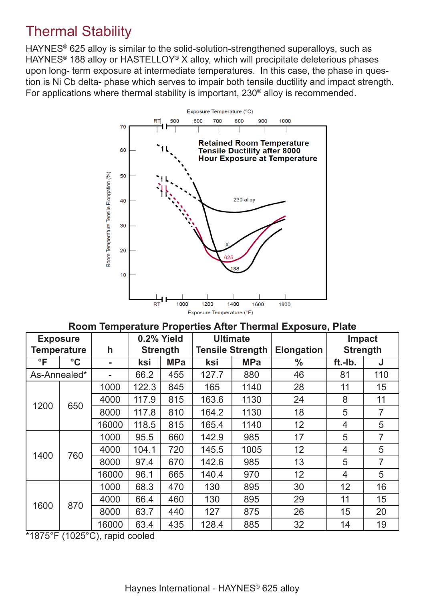### Thermal Stability

HAYNES<sup>®</sup> 625 alloy is similar to the solid-solution-strengthened superalloys, such as HAYNES® 188 alloy or HASTELLOY® X alloy, which will precipitate deleterious phases upon long- term exposure at intermediate temperatures. In this case, the phase in question is Ni Cb delta- phase which serves to impair both tensile ductility and impact strength. For applications where thermal stability is important, 230® alloy is recommended.



**Room Temperature Properties After Thermal Exposure, Plate**

| <b>Exposure</b> |                    |                | 0.2% Yield      |            |                         | <b>Ultimate</b> |                   | <b>Impact</b>   |     |
|-----------------|--------------------|----------------|-----------------|------------|-------------------------|-----------------|-------------------|-----------------|-----|
|                 | <b>Temperature</b> | h              | <b>Strength</b> |            | <b>Tensile Strength</b> |                 | <b>Elongation</b> | <b>Strength</b> |     |
| $\mathsf{P}$    | $\rm ^{\circ}C$    | $\blacksquare$ | ksi             | <b>MPa</b> | ksi                     | <b>MPa</b>      | $\frac{0}{0}$     | ft.-Ib.         | J   |
| As-Annealed*    |                    |                | 66.2            | 455        | 127.7                   | 880             | 46                | 81              | 110 |
|                 |                    | 1000           | 122.3           | 845        | 165                     | 1140            | 28                | 11              | 15  |
| 1200            | 650                | 4000           | 117.9           | 815        | 163.6                   | 1130            | 24                | 8               | 11  |
|                 |                    | 8000           | 117.8           | 810        | 164.2                   | 1130            | 18                | 5               | 7   |
|                 |                    | 16000          | 118.5           | 815        | 165.4                   | 1140            | 12                | $\overline{4}$  | 5   |
|                 | 1000               | 95.5           | 660             | 142.9      | 985                     | 17              | 5                 | 7               |     |
| 1400            | 760                | 4000           | 104.1           | 720        | 145.5                   | 1005            | 12                | $\overline{4}$  | 5   |
|                 |                    | 8000           | 97.4            | 670        | 142.6                   | 985             | 13                | 5               | 7   |
|                 |                    | 16000          | 96.1            | 665        | 140.4                   | 970             | 12                | $\overline{4}$  | 5   |
|                 |                    | 1000           | 68.3            | 470        | 130                     | 895             | 30                | 12              | 16  |
| 870<br>1600     |                    | 4000           | 66.4            | 460        | 130                     | 895             | 29                | 11              | 15  |
|                 |                    | 8000           | 63.7            | 440        | 127                     | 875             | 26                | 15              | 20  |
|                 |                    | 16000          | 63.4            | 435        | 128.4                   | 885             | 32                | 14              | 19  |

\*1875°F (1025°C), rapid cooled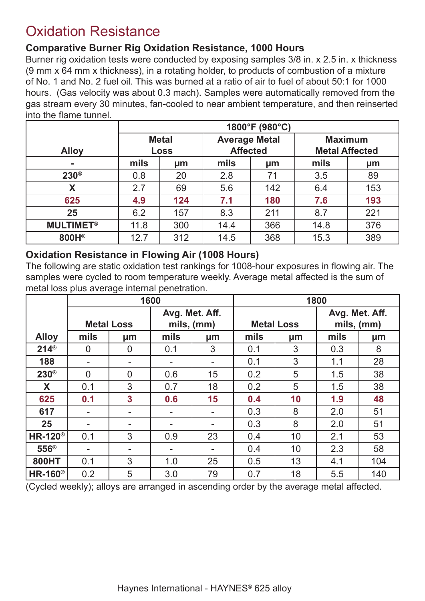### Oxidation Resistance

#### **Comparative Burner Rig Oxidation Resistance, 1000 Hours**

Burner rig oxidation tests were conducted by exposing samples 3/8 in. x 2.5 in. x thickness (9 mm x 64 mm x thickness), in a rotating holder, to products of combustion of a mixture of No. 1 and No. 2 fuel oil. This was burned at a ratio of air to fuel of about 50:1 for 1000 hours. (Gas velocity was about 0.3 mach). Samples were automatically removed from the gas stream every 30 minutes, fan-cooled to near ambient temperature, and then reinserted into the flame tunnel.

|                             | 1800°F (980°C)              |     |                                         |     |                                         |     |  |
|-----------------------------|-----------------------------|-----|-----------------------------------------|-----|-----------------------------------------|-----|--|
| <b>Alloy</b>                | <b>Metal</b><br><b>Loss</b> |     | <b>Average Metal</b><br><b>Affected</b> |     | <b>Maximum</b><br><b>Metal Affected</b> |     |  |
| ٠                           | mils                        | µm  | mils                                    | µm  | mils                                    | μm  |  |
| $230^\circ$                 | 0.8                         | 20  | 2.8                                     | 71  | 3.5                                     | 89  |  |
| X                           | 2.7                         | 69  | 5.6                                     | 142 | 6.4                                     | 153 |  |
| 625                         | 4.9                         | 124 | 7.1                                     | 180 | 7.6                                     | 193 |  |
| 25                          | 6.2                         | 157 | 8.3                                     | 211 | 8.7                                     | 221 |  |
| <b>MULTIMET<sup>®</sup></b> | 11.8                        | 300 | 14.4                                    | 366 | 14.8                                    | 376 |  |
| 800H®                       | 12.7                        | 312 | 14.5                                    | 368 | 15.3                                    | 389 |  |

#### **Oxidation Resistance in Flowing Air (1008 Hours)**

The following are static oxidation test rankings for 1008-hour exposures in flowing air. The samples were cycled to room temperature weekly. Average metal affected is the sum of metal loss plus average internal penetration.

|                            |                | 1600                     |      |                              |      | 1800              |      |                              |  |
|----------------------------|----------------|--------------------------|------|------------------------------|------|-------------------|------|------------------------------|--|
|                            |                | <b>Metal Loss</b>        |      | Avg. Met. Aff.<br>mils, (mm) |      | <b>Metal Loss</b> |      | Avg. Met. Aff.<br>mils, (mm) |  |
| <b>Alloy</b>               | mils           | µm                       | mils | µm                           | mils | µm                | mils | µm                           |  |
| $214^{\circ}$              | $\overline{0}$ | $\overline{0}$           | 0.1  | 3                            | 0.1  | 3                 | 0.3  | 8                            |  |
| 188                        | ۰              | $\overline{\phantom{a}}$ |      |                              | 0.1  | 3                 | 1.1  | 28                           |  |
| $230^\circ$                | $\overline{0}$ | $\overline{0}$           | 0.6  | 15                           | 0.2  | 5                 | 1.5  | 38                           |  |
| X                          | 0.1            | 3                        | 0.7  | 18                           | 0.2  | 5                 | 1.5  | 38                           |  |
| 625                        | 0.1            | $\overline{\mathbf{3}}$  | 0.6  | 15                           | 0.4  | 10                | 1.9  | 48                           |  |
| 617                        | -              | $\overline{\phantom{a}}$ |      |                              | 0.3  | 8                 | 2.0  | 51                           |  |
| 25                         | ۰              | ۰                        |      |                              | 0.3  | 8                 | 2.0  | 51                           |  |
| <b>HR-120</b> <sup>®</sup> | 0.1            | 3                        | 0.9  | 23                           | 0.4  | 10                | 2.1  | 53                           |  |
| 556 <sup>®</sup>           | $\blacksquare$ | $\overline{\phantom{a}}$ |      |                              | 0.4  | 10                | 2.3  | 58                           |  |
| <b>800HT</b>               | 0.1            | 3                        | 1.0  | 25                           | 0.5  | 13                | 4.1  | 104                          |  |
| <b>HR-160</b> <sup>®</sup> | 0.2            | 5                        | 3.0  | 79                           | 0.7  | 18                | 5.5  | 140                          |  |

(Cycled weekly); alloys are arranged in ascending order by the average metal affected.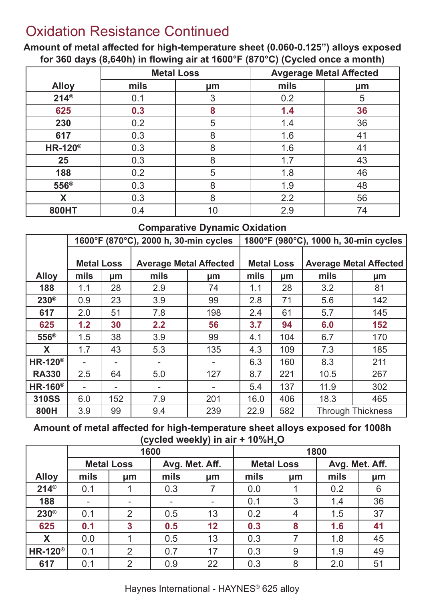### Oxidation Resistance Continued

**Amount of metal affected for high-temperature sheet (0.060-0.125") alloys exposed for 360 days (8,640h) in flowing air at 1600°F (870°C) (Cycled once a month)**

|                  |      | <b>Metal Loss</b> | <b>Avgerage Metal Affected</b> |    |  |  |
|------------------|------|-------------------|--------------------------------|----|--|--|
| <b>Alloy</b>     | mils | µm                | mils                           | μm |  |  |
| $214^{\circ}$    | 0.1  | 3                 | 0.2                            | 5  |  |  |
| 625              | 0.3  | 8                 | 1.4                            | 36 |  |  |
| 230              | 0.2  | 5                 | 1.4                            | 36 |  |  |
| 617              | 0.3  | 8                 | 1.6                            | 41 |  |  |
| $HR-120^{\circ}$ | 0.3  | 8                 | 1.6                            | 41 |  |  |
| 25               | 0.3  | 8                 | 1.7                            | 43 |  |  |
| 188              | 0.2  | 5                 | 1.8                            | 46 |  |  |
| 556 <sup>®</sup> | 0.3  | 8                 | 1.9                            | 48 |  |  |
| X                | 0.3  | 8                 | 2.2                            | 56 |  |  |
| 800HT            | 0.4  | 10                | 2.9                            | 74 |  |  |

#### **Comparative Dynamic Oxidation**

|                            |                   | 1600°F (870°C), 2000 h, 30-min cycles |                               | 1800°F (980°C), 1000 h, 30-min cycles |                   |     |      |                               |  |
|----------------------------|-------------------|---------------------------------------|-------------------------------|---------------------------------------|-------------------|-----|------|-------------------------------|--|
|                            |                   |                                       |                               |                                       |                   |     |      |                               |  |
|                            | <b>Metal Loss</b> |                                       | <b>Average Metal Affected</b> |                                       | <b>Metal Loss</b> |     |      | <b>Average Metal Affected</b> |  |
| <b>Alloy</b>               | mils              | µm                                    | mils                          | µm                                    | mils              | µm  | mils | <b>µm</b>                     |  |
| 188                        | 1.1               | 28                                    | 2.9                           | 74                                    | 1.1               | 28  | 3.2  | 81                            |  |
| $230^\circ$                | 0.9               | 23                                    | 3.9                           | 99                                    | 2.8               | 71  | 5.6  | 142                           |  |
| 617                        | 2.0               | 51                                    | 7.8                           | 198                                   | 2.4               | 61  | 5.7  | 145                           |  |
| 625                        | 1.2               | 30                                    | 2.2                           | 56                                    | 3.7               | 94  | 6.0  | 152                           |  |
| $556^{\circ}$              | 1.5               | 38                                    | 3.9                           | 99                                    | 4.1               | 104 | 6.7  | 170                           |  |
| X                          | 1.7               | 43                                    | 5.3                           | 135                                   | 4.3               | 109 | 7.3  | 185                           |  |
| $HR-120^{\circ}$           | ۰                 |                                       |                               |                                       | 6.3               | 160 | 8.3  | 211                           |  |
| <b>RA330</b>               | 2.5               | 64                                    | 5.0                           | 127                                   | 8.7               | 221 | 10.5 | 267                           |  |
| <b>HR-160</b> <sup>®</sup> |                   |                                       |                               |                                       | 5.4               | 137 | 11.9 | 302                           |  |
| <b>310SS</b>               | 6.0               | 152                                   | 7.9                           | 201                                   | 16.0              | 406 | 18.3 | 465                           |  |
| 800H                       | 3.9               | 99                                    | 9.4                           | 239                                   | 22.9              | 582 |      | <b>Through Thickness</b>      |  |

**Amount of metal affected for high-temperature sheet alloys exposed for 1008h (cycled weekly) in air + 10%H2 O**

|                            |                   | $\cdots$                 | 1600           | . . | 1800 |                   |                |    |
|----------------------------|-------------------|--------------------------|----------------|-----|------|-------------------|----------------|----|
|                            | <b>Metal Loss</b> |                          | Avg. Met. Aff. |     |      | <b>Metal Loss</b> | Avg. Met. Aff. |    |
| <b>Alloy</b>               | mils              | µm                       | mils           | µm  | mils | µm                | mils           | µm |
| $214^{\circ}$              | 0.1               |                          | 0.3            |     | 0.0  |                   | 0.2            | 6  |
| 188                        | ۰.                | $\overline{\phantom{a}}$ | ۰              |     | 0.1  | 3                 | 1.4            | 36 |
| $230^\circ$                | 0.1               | $\overline{2}$           | 0.5            | 13  | 0.2  | 4                 | 1.5            | 37 |
| 625                        | 0.1               | $\overline{\mathbf{3}}$  | 0.5            | 12  | 0.3  | 8                 | 1.6            | 41 |
| X                          | 0.0               |                          | 0.5            | 13  | 0.3  |                   | 1.8            | 45 |
| <b>HR-120</b> <sup>®</sup> | 0.1               | $\overline{2}$           | 0.7            | 17  | 0.3  | 9                 | 1.9            | 49 |
| 617                        | 0.1               | $\overline{2}$           | 0.9            | 22  | 0.3  | 8                 | 2.0            | 51 |

Haynes International - HAYNES® 625 alloy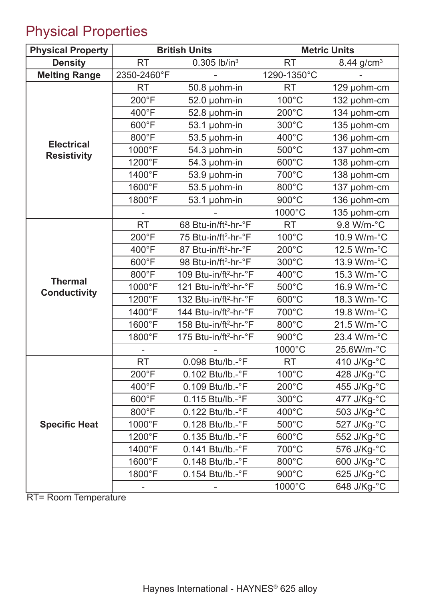## Physical Properties

| <b>Physical Property</b>                |                 | <b>British Units</b>              |                 | <b>Metric Units</b>    |  |  |
|-----------------------------------------|-----------------|-----------------------------------|-----------------|------------------------|--|--|
| <b>Density</b>                          | <b>RT</b>       | $0.305$ lb/in <sup>3</sup>        | <b>RT</b>       | 8.44 g/cm <sup>3</sup> |  |  |
| <b>Melting Range</b>                    | 2350-2460°F     |                                   | 1290-1350°C     |                        |  |  |
|                                         | <b>RT</b>       | 50.8 µohm-in                      | <b>RT</b>       | 129 µohm-cm            |  |  |
|                                         | 200°F           | $52.0$ µohm-in                    | 100°C           | 132 µohm-cm            |  |  |
|                                         | 400°F           | 52.8 µohm-in                      | $200^{\circ}$ C | 134 µohm-cm            |  |  |
|                                         | 600°F           | 53.1 µohm-in                      | 300°C           | 135 µohm-cm            |  |  |
|                                         | 800°F           | 53.5 µohm-in                      | 400°C           | 136 µohm-cm            |  |  |
| <b>Electrical</b><br><b>Resistivity</b> | 1000°F          | 54.3 µohm-in                      | 500°C           | 137 µohm-cm            |  |  |
|                                         | 1200°F          | 54.3 µohm-in                      | 600°C           | 138 µohm-cm            |  |  |
|                                         | 1400°F          | 53.9 µohm-in                      | 700°C           | 138 µohm-cm            |  |  |
|                                         | 1600°F          | 53.5 µohm-in                      | 800°C           | 137 µohm-cm            |  |  |
|                                         | 1800°F          | 53.1 µohm-in                      | 900°C           | 136 µohm-cm            |  |  |
|                                         |                 |                                   | 1000°C          | 135 µohm-cm            |  |  |
|                                         | <b>RT</b>       | 68 Btu-in/ft <sup>2</sup> -hr-°F  | <b>RT</b>       | 9.8 W/m-°C             |  |  |
|                                         | $200^{\circ}F$  | 75 Btu-in/ft <sup>2</sup> -hr-°F  | 100°C           | 10.9 W/m-°C            |  |  |
|                                         | 400°F           | 87 Btu-in/ft <sup>2</sup> -hr-°F  | $200^{\circ}$ C | 12.5 W/m-°C            |  |  |
|                                         | 600°F           | 98 Btu-in/ft <sup>2</sup> -hr-°F  | 300°C           | 13.9 W/m-°C            |  |  |
| <b>Thermal</b>                          | 800°F           | 109 Btu-in/ft <sup>2</sup> -hr-°F | 400°C           | 15.3 W/m-°C            |  |  |
| <b>Conductivity</b>                     | 1000°F          | 121 Btu-in/ft <sup>2</sup> -hr-°F | 500°C           | 16.9 W/m-°C            |  |  |
|                                         | 1200°F          | 132 Btu-in/ft <sup>2</sup> -hr-°F | 600°C           | 18.3 W/m-°C            |  |  |
|                                         | 1400°F          | 144 Btu-in/ft <sup>2</sup> -hr-°F | 700°C           | 19.8 W/m-°C            |  |  |
|                                         | 1600°F          | 158 Btu-in/ft <sup>2</sup> -hr-°F | 800°C           | 21.5 W/m-°C            |  |  |
|                                         | 1800°F          | 175 Btu-in/ft <sup>2</sup> -hr-°F | 900°C           | 23.4 W/m-°C            |  |  |
|                                         |                 |                                   | 1000°C          | 25.6W/m-°C             |  |  |
|                                         | <b>RT</b>       | 0.098 Btu/lb.-°F                  | RT              | 410 J/Kg-°C            |  |  |
|                                         | $200^{\circ}$ F | $0.102$ Btu/lb.- $\degree$ F      | $100^{\circ}$ C | 428 J/Kg-°C            |  |  |
|                                         | $400^{\circ}$ F | $0.109$ Btu/lb.- $\degree$ F      | $200^{\circ}$ C | 455 J/Kg-°C            |  |  |
|                                         | $600^{\circ}$ F | 0.115 Btu/lb.-°F                  | $300^{\circ}$ C | 477 J/Kg-°C            |  |  |
|                                         | $800^{\circ}$ F | $0.122$ Btu/lb.- $\degree$ F      | $400^{\circ}$ C | 503 J/Kg-°C            |  |  |
| <b>Specific Heat</b>                    | 1000°F          | 0.128 Btu/lb.-°F                  | $500^{\circ}$ C | 527 J/Kg-°C            |  |  |
|                                         | 1200°F          | $0.135$ Btu/lb.- $\textdegree$ F  | 600°C           | 552 J/Kg-°C            |  |  |
|                                         | 1400°F          | $0.141$ Btu/lb.- $\degree$ F      | 700°C           | 576 J/Kg-°C            |  |  |
|                                         | 1600°F          | $0.148$ Btu/lb.- $\degree$ F      | 800°C           | 600 J/Kg-°C            |  |  |
|                                         | 1800°F          | $0.154$ Btu/lb.- $\degree$ F      | $900^{\circ}$ C | 625 J/Kg-°C            |  |  |
|                                         |                 |                                   | 1000°C          | 648 J/Kg-°C            |  |  |

RT= Room Temperature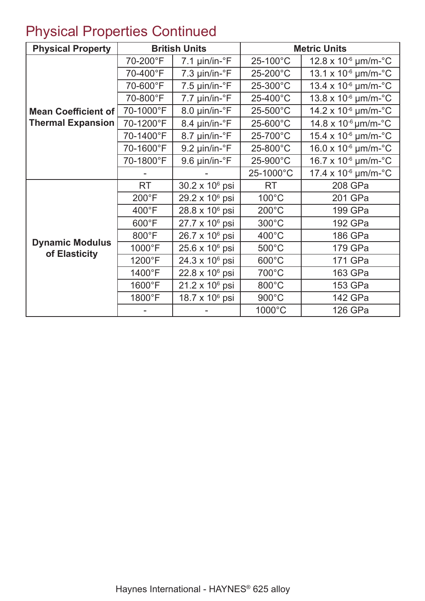## Physical Properties Continued

| <b>Physical Property</b>                |                 | <b>British Units</b>             |                 | <b>Metric Units</b>                      |  |
|-----------------------------------------|-----------------|----------------------------------|-----------------|------------------------------------------|--|
|                                         | 70-200°F        | $7.1 \mu$ in/in- $\degree$ F     | 25-100°C        | $12.8 \times 10^{-6}$ µm/m- $^{\circ}$ C |  |
|                                         | 70-400°F        | $7.3 \mu$ in/in- $\textdegree$ F | 25-200°C        | 13.1 x $10^{-6}$ µm/m- $^{\circ}$ C      |  |
|                                         | 70-600°F        | $7.5 \mu$ in/in- $\textdegree$ F | 25-300°C        | 13.4 x $10^{-6}$ µm/m- $^{\circ}$ C      |  |
|                                         | 70-800°F        | $7.7 \mu$ in/in- $\textdegree$ F | 25-400°C        | 13.8 x 10-6 µm/m-°C                      |  |
| <b>Mean Coefficient of</b>              | 70-1000°F       | 8.0 µin/in-°F                    | 25-500°C        | $14.2 \times 10^{-6}$ µm/m- $^{\circ}$ C |  |
| <b>Thermal Expansion</b>                | 70-1200°F       | 8.4 µin/in-°F                    | 25-600°C        | $14.8 \times 10^{-6}$ µm/m- $^{\circ}$ C |  |
|                                         | 70-1400°F       | 8.7 µin/in-°F                    | 25-700°C        | $15.4 \times 10^{-6}$ µm/m- $^{\circ}$ C |  |
|                                         | 70-1600°F       | $9.2 \mu$ in/in- $\textdegree$ F | 25-800°C        | $16.0 \times 10^{-6}$ µm/m- $^{\circ}$ C |  |
|                                         | 70-1800°F       | 9.6 µin/in-°F                    | 25-900°C        | $16.7 \times 10^{-6}$ µm/m- $^{\circ}$ C |  |
|                                         |                 |                                  | 25-1000°C       | $17.4 \times 10^{-6}$ µm/m- $^{\circ}$ C |  |
|                                         | <b>RT</b>       | $30.2 \times 10^6$ psi           | <b>RT</b>       | 208 GPa                                  |  |
|                                         | $200^{\circ}$ F | $29.2 \times 10^6$ psi           | $100^{\circ}$ C | 201 GPa                                  |  |
|                                         | $400^{\circ}$ F | 28.8 x 10 <sup>6</sup> psi       | $200^{\circ}$ C | 199 GPa                                  |  |
|                                         | $600^{\circ}$ F | $27.7 \times 10^6$ psi           | $300^{\circ}$ C | 192 GPa                                  |  |
|                                         | $800^{\circ}$ F | $26.7 \times 10^6$ psi           | $400^{\circ}$ C | 186 GPa                                  |  |
| <b>Dynamic Modulus</b><br>of Elasticity | 1000°F          | $25.6 \times 10^6$ psi           | $500^{\circ}$ C | 179 GPa                                  |  |
|                                         | 1200°F          | $24.3 \times 10^6$ psi           | $600^{\circ}$ C | 171 GPa                                  |  |
|                                         | 1400°F          | $22.8 \times 10^6$ psi           | 700°C           | 163 GPa                                  |  |
|                                         | 1600°F          | $21.2 \times 10^6$ psi           | 800°C           | 153 GPa                                  |  |
|                                         | 1800°F          | 18.7 x $10^6$ psi                | $900^{\circ}$ C | 142 GPa                                  |  |
|                                         |                 |                                  | 1000°C          | 126 GPa                                  |  |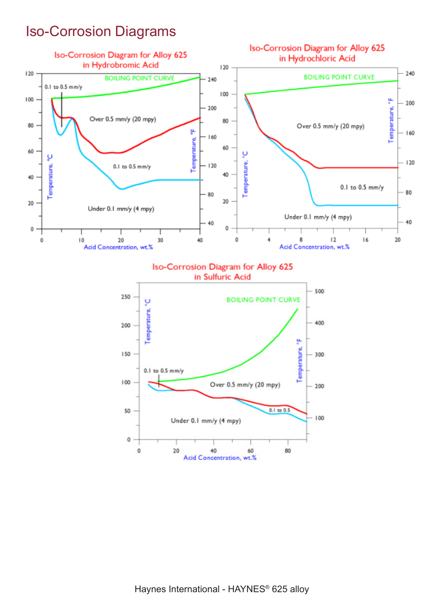### Iso-Corrosion Diagrams



40

Acid Concentration, wt.%

60

80

 $\circ$ 

20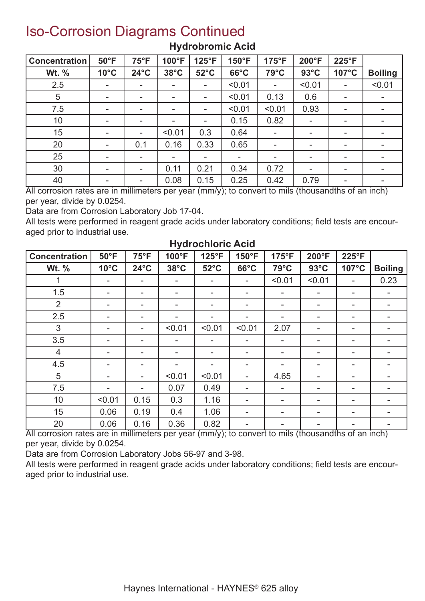### Iso-Corrosion Diagrams Continued

| <b>Concentration</b> | $50^{\circ}$ F           | $75^{\circ}F$  | 100°F                    | 125°F          | 150°F            | $175^{\circ}F$           | 200°F                    | 225°F                        |                                             |
|----------------------|--------------------------|----------------|--------------------------|----------------|------------------|--------------------------|--------------------------|------------------------------|---------------------------------------------|
| Wt. %                | $10^{\circ}$ C           | $24^{\circ}$ C | $38^{\circ}$ C           | $52^{\circ}$ C | $66^{\circ}$ C   | $79^{\circ}$ C           | $93^{\circ}$ C           | $107^{\circ}$ C              | <b>Boiling</b>                              |
| 2.5                  | ٠                        |                | ۰                        |                | < 0.01           | ۰                        | < 0.01                   | ٠                            | < 0.01                                      |
| 5                    | ۰                        | ۰              | $\overline{\phantom{a}}$ | ۰              | < 0.01           | 0.13                     | 0.6                      | ٠                            | ۰                                           |
| 7.5                  | ۰                        | ۰              | ۰                        | ۰              | < 0.01           | < 0.01                   | 0.93                     | ۰                            | ۰                                           |
| 10                   | -                        | ۰              | $\overline{\phantom{a}}$ | ۰              | 0.15             | 0.82                     | ٠                        | ۰                            | ۰                                           |
| 15                   |                          | ۰              | < 0.01                   | 0.3            | 0.64             |                          | ۰                        | $\overline{\phantom{a}}$     | ۰                                           |
| 20                   | $\overline{\phantom{a}}$ | 0.1            | 0.16                     | 0.33           | 0.65             | $\overline{\phantom{a}}$ | $\overline{\phantom{a}}$ | ٠                            | $\overline{\phantom{a}}$                    |
| 25                   | -                        | -              | $\overline{\phantom{a}}$ |                | ۰                | $\overline{\phantom{a}}$ | ۰                        | ۰                            | ۰                                           |
| 30                   | ۰                        | -              | 0.11                     | 0.21           | 0.34             | 0.72                     | ۰                        | -                            | ۰                                           |
| 40<br>$\overline{a}$ | ٠<br>. .                 | -<br>          | 0.08                     | 0.15           | 0.25<br>$\cdots$ | 0.42<br>$\sim$           | 0.79<br>$\cdots$         | Ξ.<br>$\cdots$<br>$\epsilon$ | $\overline{\phantom{0}}$<br>. .<br>$\cdots$ |

#### **Hydrobromic Acid**

All corrosion rates are in millimeters per year (mm/y); to convert to mils (thousandths of an inch) per year, divide by 0.0254.

Data are from Corrosion Laboratory Job 17-04.

All tests were performed in reagent grade acids under laboratory conditions; field tests are encouraged prior to industrial use.

| <b>Concentration</b> | $50^{\circ}$ F | $75^{\circ}F$            | 100°F                    | 125°F                    | 150°F                    | 175°F                    | 200°F                    | 225°F                    |                |
|----------------------|----------------|--------------------------|--------------------------|--------------------------|--------------------------|--------------------------|--------------------------|--------------------------|----------------|
| Wt. %                | $10^{\circ}$ C | $24^{\circ}$ C           | $38^{\circ}$ C           | $52^{\circ}$ C           | $66^{\circ}$ C           | $79^{\circ}$ C           | $93^{\circ}$ C           | 107°C                    | <b>Boiling</b> |
| 1                    | ۰              |                          |                          | ۰                        |                          | < 0.01                   | < 0.01                   | ۰                        | 0.23           |
| 1.5                  | ۰              | $\overline{\phantom{a}}$ |                          | $\overline{\phantom{a}}$ | ۰                        | $\overline{\phantom{a}}$ | $\overline{\phantom{a}}$ |                          |                |
| 2                    | ۰              | ٠                        |                          | ۰                        | ۰                        | ۰                        | ۰                        | $\overline{\phantom{a}}$ |                |
| 2.5                  | ۰              | ۰                        |                          | $\overline{\phantom{a}}$ | ۰                        | ۰                        | ۰                        | ۰                        |                |
| 3                    | ۰              | ٠                        | < 0.01                   | < 0.01                   | < 0.01                   | 2.07                     | -                        | $\overline{\phantom{a}}$ |                |
| 3.5                  | ۰              | $\overline{\phantom{a}}$ | $\overline{\phantom{0}}$ | $\overline{\phantom{a}}$ | ۰                        | $\overline{\phantom{a}}$ | ۰                        | $\overline{\phantom{0}}$ | ۰              |
| $\overline{4}$       | ۰              | $\overline{\phantom{a}}$ |                          | $\overline{\phantom{a}}$ | -                        | ۰                        | -                        | -                        |                |
| 4.5                  | ۰              | ٠                        | ۰                        | ۰                        | -                        | ۰                        | $\overline{\phantom{a}}$ | $\overline{\phantom{0}}$ | ۰              |
| 5                    | ۰              | ٠                        | < 0.01                   | < 0.01                   | $\overline{\phantom{0}}$ | 4.65                     | -                        | $\overline{\phantom{0}}$ |                |
| 7.5                  | ۰              | ۰                        | 0.07                     | 0.49                     | ۰                        | $\overline{\phantom{a}}$ | ٠                        | $\overline{\phantom{0}}$ | ۰              |
| 10                   | < 0.01         | 0.15                     | 0.3                      | 1.16                     | ۰                        | ۰                        | -                        | $\overline{\phantom{0}}$ |                |
| 15                   | 0.06           | 0.19                     | 0.4                      | 1.06                     | -                        | ۰                        | ٠                        | $\overline{\phantom{a}}$ | ۰              |
| 20                   | 0.06           | 0.16                     | 0.36                     | 0.82                     | -                        | -                        | ۰                        | -                        |                |

#### **Hydrochloric Acid**

All corrosion rates are in millimeters per year (mm/y); to convert to mils (thousandths of an inch) per year, divide by 0.0254.

Data are from Corrosion Laboratory Jobs 56-97 and 3-98.

All tests were performed in reagent grade acids under laboratory conditions; field tests are encouraged prior to industrial use.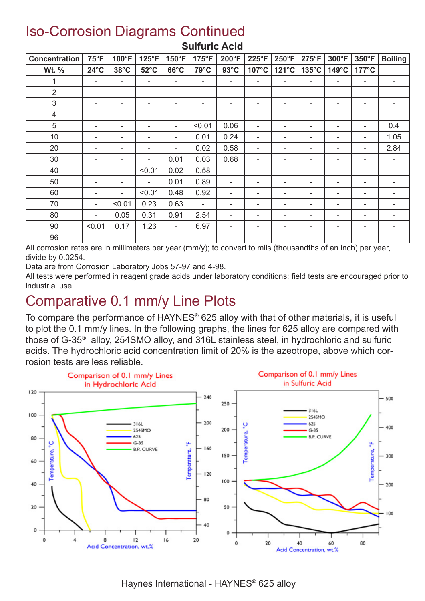### Iso-Corrosion Diagrams Continued

| <b>Concentration</b> | $75^{\circ}F$            | 100°F                    | 125°F                    | 150°F                    | 175°F                    | 200°F                        | 225°F                    | 250°F                    | $275^{\circ}F$           | 300°F                    | 350°F                    | <b>Boiling</b>           |
|----------------------|--------------------------|--------------------------|--------------------------|--------------------------|--------------------------|------------------------------|--------------------------|--------------------------|--------------------------|--------------------------|--------------------------|--------------------------|
| Wt. %                | $24^{\circ}$ C           | $38^{\circ}$ C           | $52^{\circ}$ C           | $66^{\circ}$ C           | 79°C                     | $93^{\circ}$ C               | 107°C                    | 121°C                    | $135^{\circ}$ C          | 149°C                    | 177°C                    |                          |
|                      | $\overline{\phantom{a}}$ | $\overline{\phantom{a}}$ | -                        | $\overline{\phantom{a}}$ | $\overline{\phantom{a}}$ |                              | $\overline{\phantom{a}}$ | $\overline{\phantom{0}}$ | $\overline{\phantom{a}}$ | $\overline{\phantom{a}}$ | -                        | $\overline{\phantom{a}}$ |
| $\overline{2}$       | $\overline{\phantom{a}}$ | $\overline{\phantom{a}}$ | $\overline{\phantom{0}}$ | -                        | $\overline{\phantom{a}}$ |                              | $\overline{\phantom{a}}$ | $\overline{\phantom{a}}$ | $\overline{\phantom{a}}$ | $\overline{\phantom{0}}$ | $\overline{\phantom{0}}$ | $\qquad \qquad$          |
| 3                    | $\overline{\phantom{a}}$ | $\overline{\phantom{0}}$ | $\overline{\phantom{0}}$ | $\overline{\phantom{a}}$ | $\overline{\phantom{a}}$ |                              | $\overline{\phantom{a}}$ | ٠                        | $\overline{\phantom{a}}$ | $\overline{\phantom{a}}$ | $\overline{\phantom{0}}$ | $\overline{\phantom{a}}$ |
| $\overline{4}$       | $\overline{\phantom{a}}$ | $\overline{\phantom{a}}$ | $\overline{\phantom{0}}$ | -                        | $\overline{\phantom{a}}$ | $\overline{\phantom{0}}$     | $\overline{\phantom{a}}$ | ۰                        | $\overline{\phantom{a}}$ | $\overline{\phantom{a}}$ | $\overline{\phantom{0}}$ | -                        |
| 5                    | $\overline{\phantom{a}}$ |                          | $\overline{\phantom{0}}$ | -                        | < 0.01                   | 0.06                         | $\overline{\phantom{a}}$ | ٠                        | $\overline{\phantom{a}}$ | $\overline{\phantom{0}}$ | $\overline{\phantom{0}}$ | 0.4                      |
| 10                   | $\overline{\phantom{a}}$ |                          | -                        | $\overline{\phantom{a}}$ | 0.01                     | 0.24                         | $\overline{\phantom{a}}$ | $\overline{\phantom{a}}$ | $\overline{\phantom{a}}$ | $\overline{\phantom{0}}$ | -                        | 1.05                     |
| 20                   | $\overline{\phantom{a}}$ | $\overline{\phantom{a}}$ | -                        | $\overline{\phantom{a}}$ | 0.02                     | 0.58                         | $\overline{\phantom{a}}$ | $\overline{\phantom{a}}$ | $\overline{\phantom{a}}$ | $\overline{\phantom{a}}$ | $\overline{\phantom{0}}$ | 2.84                     |
| 30                   | $\overline{\phantom{a}}$ |                          | $\overline{\phantom{0}}$ | 0.01                     | 0.03                     | 0.68                         | $\overline{\phantom{a}}$ | ٠                        | -                        | $\overline{\phantom{0}}$ | $\overline{\phantom{0}}$ | $\overline{\phantom{a}}$ |
| 40                   | $\overline{\phantom{a}}$ | $\overline{\phantom{0}}$ | < 0.01                   | 0.02                     | 0.58                     | $\qquad \qquad \blacksquare$ | $\overline{\phantom{a}}$ | ۰                        | $\overline{\phantom{a}}$ | $\overline{\phantom{a}}$ | $\overline{\phantom{0}}$ | $\overline{\phantom{a}}$ |
| 50                   | $\overline{\phantom{a}}$ | $\overline{\phantom{a}}$ | $\overline{\phantom{0}}$ | 0.01                     | 0.89                     | $\overline{\phantom{a}}$     | $\overline{\phantom{a}}$ | $\overline{\phantom{a}}$ | $\overline{\phantom{a}}$ | $\overline{\phantom{a}}$ | $\overline{\phantom{0}}$ | -                        |
| 60                   | $\overline{\phantom{a}}$ |                          | < 0.01                   | 0.48                     | 0.92                     |                              | $\overline{\phantom{0}}$ | ٠                        | -                        | $\overline{\phantom{0}}$ | $\overline{\phantom{0}}$ | -                        |
| 70                   | $\overline{\phantom{a}}$ | < 0.01                   | 0.23                     | 0.63                     | $\overline{\phantom{a}}$ |                              | $\overline{\phantom{a}}$ | $\overline{\phantom{a}}$ | $\overline{\phantom{a}}$ | $\overline{\phantom{0}}$ | $\overline{\phantom{0}}$ | -                        |
| 80                   | $\overline{\phantom{a}}$ | 0.05                     | 0.31                     | 0.91                     | 2.54                     |                              | $\overline{\phantom{a}}$ | $\overline{\phantom{a}}$ | $\overline{\phantom{a}}$ | $\overline{\phantom{a}}$ | $\overline{\phantom{0}}$ | -                        |
| 90                   | < 0.01                   | 0.17                     | 1.26                     | $\overline{\phantom{0}}$ | 6.97                     |                              | $\overline{\phantom{0}}$ | $\overline{\phantom{0}}$ | -                        | $\overline{\phantom{0}}$ | -                        | $\overline{\phantom{0}}$ |
| 96                   | $\overline{\phantom{a}}$ | ٠                        | -                        | $\overline{\phantom{a}}$ | $\overline{\phantom{a}}$ |                              | $\overline{\phantom{a}}$ | $\overline{\phantom{0}}$ | $\overline{\phantom{a}}$ |                          | $\overline{\phantom{0}}$ | $\overline{\phantom{a}}$ |

#### **Sulfuric Acid**

All corrosion rates are in millimeters per year (mm/y); to convert to mils (thousandths of an inch) per year, divide by 0.0254.

Data are from Corrosion Laboratory Jobs 57-97 and 4-98.

All tests were performed in reagent grade acids under laboratory conditions; field tests are encouraged prior to industrial use.

### Comparative 0.1 mm/y Line Plots

To compare the performance of HAYNES® 625 alloy with that of other materials, it is useful to plot the 0.1 mm/y lines. In the following graphs, the lines for 625 alloy are compared with those of G-35® alloy, 254SMO alloy, and 316L stainless steel, in hydrochloric and sulfuric acids. The hydrochloric acid concentration limit of 20% is the azeotrope, above which corrosion tests are less reliable.



Haynes International - HAYNES® 625 alloy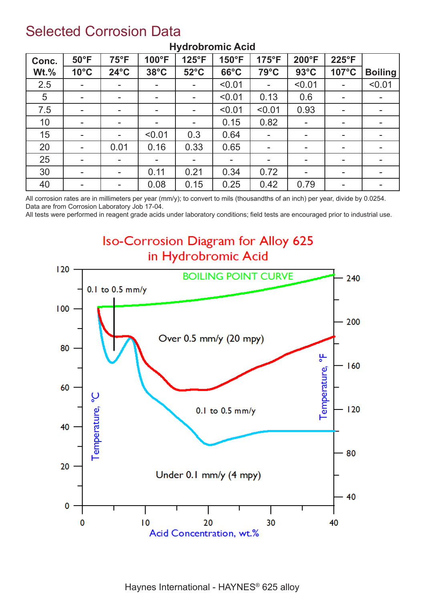### Selected Corrosion Data

| Conc.   | $50^{\circ}$ F           | $75^{\circ}F$            | 100°F                    | $125^{\circ}F$ | 150°F          | $175^{\circ}F$ | 200°F          | 225°F                    |                |
|---------|--------------------------|--------------------------|--------------------------|----------------|----------------|----------------|----------------|--------------------------|----------------|
| $Wt.\%$ | $10^{\circ}$ C           | $24^{\circ}$ C           | $38^{\circ}$ C           | $52^{\circ}$ C | $66^{\circ}$ C | 79°C           | $93^{\circ}$ C | 107°C                    | <b>Boiling</b> |
| 2.5     | $\blacksquare$           | $\overline{\phantom{a}}$ | $\overline{\phantom{a}}$ |                | < 0.01         | $\sim$         | < 0.01         | $\sim$                   | < 0.01         |
| 5       | $\blacksquare$           | $\overline{\phantom{a}}$ | -                        | $\blacksquare$ | < 0.01         | 0.13           | 0.6            | $\overline{\phantom{a}}$ |                |
| 7.5     | $\blacksquare$           | $\overline{\phantom{a}}$ | ۰.                       | $\blacksquare$ | < 0.01         | < 0.01         | 0.93           | $\sim$                   |                |
| 10      | $\blacksquare$           | ۰.                       | -                        | ۰.             | 0.15           | 0.82           | ٠              | ۰.                       | ۰              |
| 15      |                          |                          | < 0.01                   | 0.3            | 0.64           | $\blacksquare$ |                | ۰.                       |                |
| 20      | $\blacksquare$           | 0.01                     | 0.16                     | 0.33           | 0.65           | $\blacksquare$ | -              | $\overline{\phantom{a}}$ |                |
| 25      |                          |                          | ۰                        |                |                | $\blacksquare$ |                | $\overline{\phantom{a}}$ |                |
| 30      | $\overline{\phantom{a}}$ | $\sim$                   | 0.11                     | 0.21           | 0.34           | 0.72           | ۰.             | $\sim$                   | ۰              |
| 40      | $\overline{\phantom{0}}$ | $\overline{\phantom{a}}$ | 0.08                     | 0.15           | 0.25           | 0.42           | 0.79           | $\overline{\phantom{a}}$ |                |

#### **Hydrobromic Acid**

All corrosion rates are in millimeters per year (mm/y); to convert to mils (thousandths of an inch) per year, divide by 0.0254. Data are from Corrosion Laboratory Job 17-04.

All tests were performed in reagent grade acids under laboratory conditions; field tests are encouraged prior to industrial use.

### **Iso-Corrosion Diagram for Alloy 625** in Hydrobromic Acid

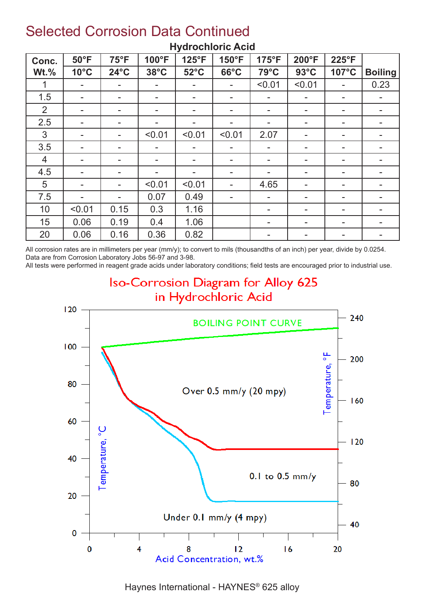### Selected Corrosion Data Continued

| Conc.          | $50^{\circ}$ F           | $75^{\circ}F$            | 100°F                    | 125°F          | 150°F                    | $175^{\circ}F$           | 200°F                    | 225°F                    |                |
|----------------|--------------------------|--------------------------|--------------------------|----------------|--------------------------|--------------------------|--------------------------|--------------------------|----------------|
| $Wt.\%$        | $10^{\circ}$ C           | $24^{\circ}$ C           | $38^{\circ}$ C           | $52^{\circ}$ C | $66^{\circ}$ C           | 79°C                     | $93^{\circ}$ C           | 107°C                    | <b>Boiling</b> |
|                |                          |                          | $\overline{\phantom{a}}$ |                |                          | < 0.01                   | < 0.01                   | ۰.                       | 0.23           |
| 1.5            | $\,$                     | $\overline{\phantom{a}}$ | $\overline{\phantom{a}}$ |                | ۰                        | $\blacksquare$           | $\overline{\phantom{a}}$ | $\overline{\phantom{a}}$ |                |
| 2              |                          |                          | $\overline{\phantom{a}}$ |                |                          | $\,$                     |                          | $\overline{\phantom{a}}$ |                |
| 2.5            |                          |                          |                          |                |                          | $\,$                     |                          | $\overline{\phantom{a}}$ |                |
| 3              | $\overline{\phantom{a}}$ |                          | < 0.01                   | < 0.01         | < 0.01                   | 2.07                     |                          | $\overline{\phantom{a}}$ |                |
| 3.5            | $\overline{\phantom{a}}$ | $\overline{\phantom{a}}$ | $\overline{\phantom{a}}$ |                | $\overline{\phantom{a}}$ | $\blacksquare$           |                          | $\overline{\phantom{a}}$ |                |
| $\overline{4}$ |                          | $\blacksquare$           | ۰.                       |                | -                        | $\blacksquare$           |                          | $\overline{\phantom{a}}$ |                |
| 4.5            | $\blacksquare$           |                          | ۰.                       |                | ۰.                       | $\sim$                   |                          | ۰.                       |                |
| 5              | $\blacksquare$           | $\overline{\phantom{0}}$ | < 0.01                   | < 0.01         | $\blacksquare$           | 4.65                     |                          | $\overline{\phantom{a}}$ |                |
| 7.5            |                          |                          | 0.07                     | 0.49           |                          | $\overline{\phantom{a}}$ | ۰.                       | $\sim$                   |                |
| 10             | < 0.01                   | 0.15                     | 0.3                      | 1.16           |                          | $\overline{\phantom{a}}$ | ۰                        | -                        |                |
| 15             | 0.06                     | 0.19                     | 0.4                      | 1.06           |                          | $\overline{\phantom{a}}$ | -                        | $\overline{\phantom{a}}$ |                |
| 20             | 0.06                     | 0.16                     | 0.36                     | 0.82           |                          | $\blacksquare$           |                          | $\overline{\phantom{a}}$ |                |

#### **Hydrochloric Acid**

All corrosion rates are in millimeters per year (mm/y); to convert to mils (thousandths of an inch) per year, divide by 0.0254. Data are from Corrosion Laboratory Jobs 56-97 and 3-98.

All tests were performed in reagent grade acids under laboratory conditions; field tests are encouraged prior to industrial use.

### **Iso-Corrosion Diagram for Alloy 625** in Hydrochloric Acid

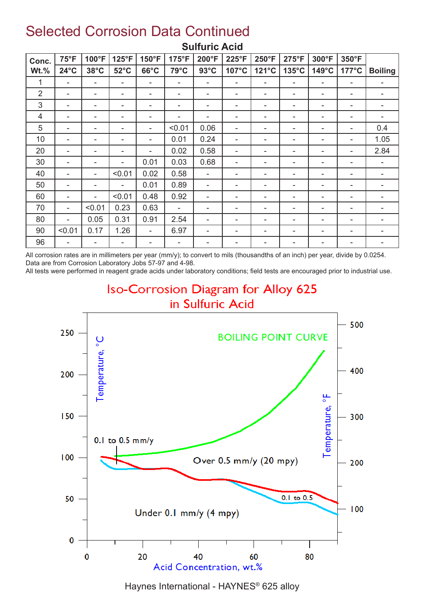### Selected Corrosion Data Continued

| Conc.          | $75^{\circ}F$            | 100°F          | $125^{\circ}F$ | 150°F                    | 175°F  | 200°F                    | 225°F | 250°F | 275°F           | 300°F                    | 350°F                    |                |
|----------------|--------------------------|----------------|----------------|--------------------------|--------|--------------------------|-------|-------|-----------------|--------------------------|--------------------------|----------------|
| $Wt.\%$        | $24^{\circ}$ C           | $38^{\circ}$ C | $52^{\circ}$ C | $66^{\circ}$ C           | 79°C   | $93^{\circ}$ C           | 107°C | 121°C | $135^{\circ}$ C | $149^{\circ}$ C          | $177^{\circ}$ C          | <b>Boiling</b> |
| 1              | $\blacksquare$           | ۰              | $\blacksquare$ | $\blacksquare$           | ۰      | $\overline{\phantom{a}}$ | ۰     | ٠     |                 | $\overline{\phantom{a}}$ | $\blacksquare$           | ۰              |
| $\overline{2}$ | ۰                        | ۰              | ۰              | ۰                        |        | $\overline{\phantom{a}}$ | ۰     |       |                 | ۰                        | ۰                        | ۰              |
| 3              | ۰                        | ۰              | ۰              | ۰                        | ۰      | -                        | ۰     | -     |                 | ۰                        | ۰                        | ۰              |
| 4              | ۰                        |                | -              | $\overline{\phantom{a}}$ | ۰      | $\overline{\phantom{a}}$ | ۰     |       |                 | ۰                        | $\blacksquare$           |                |
| 5              | ٠                        | ۰              | ۰              | $\overline{\phantom{a}}$ | < 0.01 | 0.06                     | ۰     | ۰     |                 | ۰                        | $\overline{\phantom{a}}$ | 0.4            |
| 10             | ۰                        | -              | ۰              |                          | 0.01   | 0.24                     | ۰     |       |                 | ۰                        | $\blacksquare$           | 1.05           |
| 20             | $\tilde{\phantom{a}}$    |                | -              | $\blacksquare$           | 0.02   | 0.58                     | ۰     |       |                 | ۰                        | ۰                        | 2.84           |
| 30             | $\overline{\phantom{a}}$ |                | $\blacksquare$ | 0.01                     | 0.03   | 0.68                     |       |       |                 | -                        | ۰                        | ۰              |
| 40             | ۰                        |                | < 0.01         | 0.02                     | 0.58   | $\blacksquare$           | ۰     |       |                 | ۰                        | -                        |                |
| 50             | ۰                        | ۰              | ۰              | 0.01                     | 0.89   | ۰                        | ۰     |       |                 | ۰                        | ۰                        |                |
| 60             | $\tilde{\phantom{a}}$    | ۰              | < 0.01         | 0.48                     | 0.92   | ۰                        | ۰     | ۰     |                 | ۰                        | $\blacksquare$           |                |
| 70             | $\sim$                   | < 0.01         | 0.23           | 0.63                     |        | $\overline{\phantom{a}}$ | ۰     |       |                 | ۰                        |                          |                |
| 80             | $\sim$                   | 0.05           | 0.31           | 0.91                     | 2.54   | -                        | ۰     |       |                 | ۰                        | -                        |                |
| 90             | < 0.01                   | 0.17           | 1.26           | $\blacksquare$           | 6.97   | -                        | -     |       |                 | ۰                        | -                        |                |
| 96             | ٠                        |                | -              |                          |        | -                        |       |       |                 | ۰                        | -                        |                |

#### **Sulfuric Acid**

All corrosion rates are in millimeters per year (mm/y); to convert to mils (thousandths of an inch) per year, divide by 0.0254. Data are from Corrosion Laboratory Jobs 57-97 and 4-98.

All tests were performed in reagent grade acids under laboratory conditions; field tests are encouraged prior to industrial use.

### **Iso-Corrosion Diagram for Alloy 625** in Sulfuric Acid



Haynes International - HAYNES® 625 alloy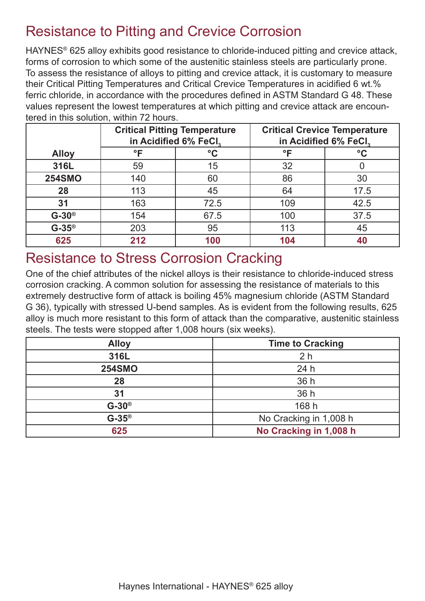### Resistance to Pitting and Crevice Corrosion

HAYNES® 625 alloy exhibits good resistance to chloride-induced pitting and crevice attack, forms of corrosion to which some of the austenitic stainless steels are particularly prone. To assess the resistance of alloys to pitting and crevice attack, it is customary to measure their Critical Pitting Temperatures and Critical Crevice Temperatures in acidified 6 wt.% ferric chloride, in accordance with the procedures defined in ASTM Standard G 48. These values represent the lowest temperatures at which pitting and crevice attack are encountered in this solution, within 72 hours.

|               |     | <b>Critical Pitting Temperature</b><br>in Acidified 6% FeCl, | <b>Critical Crevice Temperature</b><br>in Acidified 6% FeCl, |                 |  |  |
|---------------|-----|--------------------------------------------------------------|--------------------------------------------------------------|-----------------|--|--|
| <b>Alloy</b>  | °F  | $\rm ^{\circ}C$                                              | °F                                                           | $\rm ^{\circ}C$ |  |  |
| 316L          | 59  | 15                                                           | 32                                                           |                 |  |  |
| <b>254SMO</b> | 140 | 60                                                           | 86                                                           | 30              |  |  |
| 28            | 113 | 45                                                           | 64                                                           | 17.5            |  |  |
| 31            | 163 | 72.5                                                         | 109                                                          | 42.5            |  |  |
| $G-30^\circ$  | 154 | 67.5                                                         | 100                                                          | 37.5            |  |  |
| $G-35^\circ$  | 203 | 95                                                           | 113                                                          | 45              |  |  |
| 625           | 212 | 100                                                          | 104                                                          | 40              |  |  |

### Resistance to Stress Corrosion Cracking

One of the chief attributes of the nickel alloys is their resistance to chloride-induced stress corrosion cracking. A common solution for assessing the resistance of materials to this extremely destructive form of attack is boiling 45% magnesium chloride (ASTM Standard G 36), typically with stressed U-bend samples. As is evident from the following results, 625 alloy is much more resistant to this form of attack than the comparative, austenitic stainless steels. The tests were stopped after 1,008 hours (six weeks).

| <b>Alloy</b>  | <b>Time to Cracking</b> |
|---------------|-------------------------|
| 316L          | 2 <sub>h</sub>          |
| <b>254SMO</b> | 24h                     |
| 28            | 36 h                    |
| 31            | 36 h                    |
| $G-30^\circ$  | 168 h                   |
| $G-35^\circ$  | No Cracking in 1,008 h  |
| 625           | No Cracking in 1,008 h  |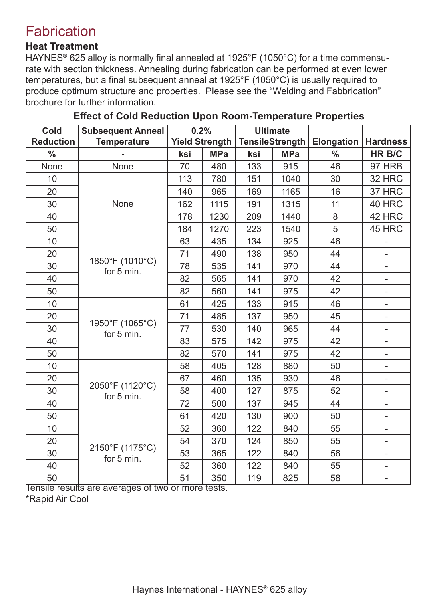### **Fabrication**

#### **Heat Treatment**

HAYNES® 625 alloy is normally final annealed at 1925°F (1050°C) for a time commensurate with section thickness. Annealing during fabrication can be performed at even lower temperatures, but a final subsequent anneal at 1925°F (1050°C) is usually required to produce optimum structure and properties. Please see the "Welding and Fabbrication" brochure for further information.

| <b>Cold</b>      | <b>Subsequent Anneal</b>      | 0.2%                  |            |     | <b>Ultimate</b>        |                   |                          |
|------------------|-------------------------------|-----------------------|------------|-----|------------------------|-------------------|--------------------------|
| <b>Reduction</b> | <b>Temperature</b>            | <b>Yield Strength</b> |            |     | <b>TensileStrength</b> | <b>Elongation</b> | <b>Hardness</b>          |
| $\frac{0}{0}$    |                               | ksi                   | <b>MPa</b> | ksi | <b>MPa</b>             | $\frac{0}{0}$     | <b>HR B/C</b>            |
| <b>None</b>      | <b>None</b>                   | 70                    | 480        | 133 | 915                    | 46                | <b>97 HRB</b>            |
| 10               |                               | 113                   | 780        | 151 | 1040                   | 30                | 32 HRC                   |
| 20               |                               | 140                   | 965        | 169 | 1165                   | 16                | 37 HRC                   |
| 30               | None                          | 162                   | 1115       | 191 | 1315                   | 11                | 40 HRC                   |
| 40               |                               | 178                   | 1230       | 209 | 1440                   | 8                 | 42 HRC                   |
| 50               |                               | 184                   | 1270       | 223 | 1540                   | 5                 | 45 HRC                   |
| 10               |                               | 63                    | 435        | 134 | 925                    | 46                |                          |
| 20               |                               | 71                    | 490        | 138 | 950                    | 44                |                          |
| 30               | 1850°F (1010°C)<br>for 5 min. | 78                    | 535        | 141 | 970                    | 44                | $\overline{\phantom{0}}$ |
| 40               |                               | 82                    | 565        | 141 | 970                    | 42                |                          |
| 50               |                               | 82                    | 560        | 141 | 975                    | 42                |                          |
| 10               |                               | 61                    | 425        | 133 | 915                    | 46                |                          |
| 20               |                               | 71                    | 485        | 137 | 950                    | 45                |                          |
| 30               | 1950°F (1065°C)<br>for 5 min. | 77                    | 530        | 140 | 965                    | 44                | $\overline{\phantom{0}}$ |
| 40               |                               | 83                    | 575        | 142 | 975                    | 42                |                          |
| 50               |                               | 82                    | 570        | 141 | 975                    | 42                | $\overline{a}$           |
| 10               |                               | 58                    | 405        | 128 | 880                    | 50                |                          |
| 20               |                               | 67                    | 460        | 135 | 930                    | 46                |                          |
| 30               | 2050°F (1120°C)<br>for 5 min. | 58                    | 400        | 127 | 875                    | 52                |                          |
| 40               |                               | 72                    | 500        | 137 | 945                    | 44                |                          |
| 50               |                               | 61                    | 420        | 130 | 900                    | 50                | $\overline{\phantom{0}}$ |
| 10               |                               | 52                    | 360        | 122 | 840                    | 55                |                          |
| 20               |                               | 54                    | 370        | 124 | 850                    | 55                | ÷                        |
| 30               | 2150°F (1175°C)<br>for 5 min. | 53                    | 365        | 122 | 840                    | 56                |                          |
| 40               |                               | 52                    | 360        | 122 | 840                    | 55                |                          |
| 50               |                               | 51                    | 350        | 119 | 825                    | 58                |                          |

#### **Effect of Cold Reduction Upon Room-Temperature Properties**

Tensile results are averages of two or more tests. \*Rapid Air Cool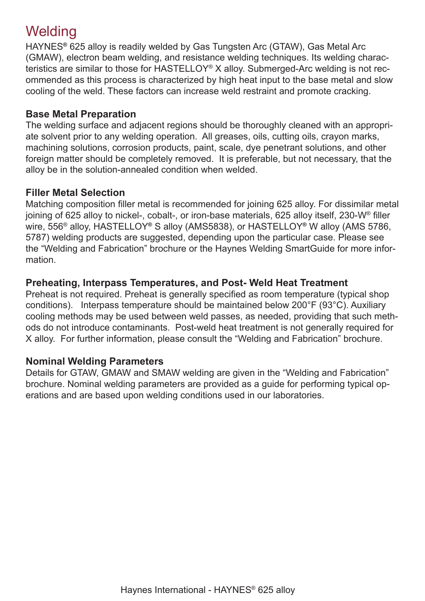### **Welding**

HAYNES**®** 625 alloy is readily welded by Gas Tungsten Arc (GTAW), Gas Metal Arc (GMAW), electron beam welding, and resistance welding techniques. Its welding characteristics are similar to those for HASTELLOY® X alloy. Submerged-Arc welding is not recommended as this process is characterized by high heat input to the base metal and slow cooling of the weld. These factors can increase weld restraint and promote cracking.

#### **Base Metal Preparation**

The welding surface and adjacent regions should be thoroughly cleaned with an appropriate solvent prior to any welding operation. All greases, oils, cutting oils, crayon marks, machining solutions, corrosion products, paint, scale, dye penetrant solutions, and other foreign matter should be completely removed. It is preferable, but not necessary, that the alloy be in the solution-annealed condition when welded.

#### **Filler Metal Selection**

Matching composition filler metal is recommended for joining 625 alloy. For dissimilar metal joining of 625 alloy to nickel-, cobalt-, or iron-base materials, 625 alloy itself, 230-W® filler wire, 556® alloy, HASTELLOY**®** S alloy (AMS5838), or HASTELLOY**®** W alloy (AMS 5786, 5787) welding products are suggested, depending upon the particular case. Please see the "Welding and Fabrication" brochure or the Haynes Welding SmartGuide for more information.

#### **Preheating, Interpass Temperatures, and Post- Weld Heat Treatment**

Preheat is not required. Preheat is generally specified as room temperature (typical shop conditions). Interpass temperature should be maintained below 200°F (93°C). Auxiliary cooling methods may be used between weld passes, as needed, providing that such methods do not introduce contaminants. Post-weld heat treatment is not generally required for X alloy. For further information, please consult the "Welding and Fabrication" brochure.

#### **Nominal Welding Parameters**

Details for GTAW, GMAW and SMAW welding are given in the "Welding and Fabrication" brochure. Nominal welding parameters are provided as a guide for performing typical operations and are based upon welding conditions used in our laboratories.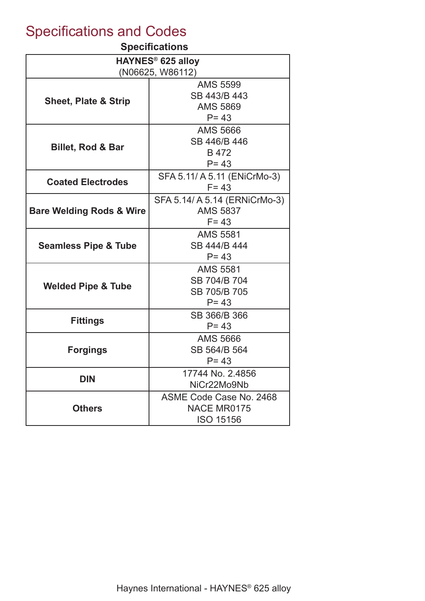### Specifications and Codes

#### **Specifications**

| , povincentis                       |                               |  |  |  |  |  |  |
|-------------------------------------|-------------------------------|--|--|--|--|--|--|
|                                     | HAYNES <sup>®</sup> 625 alloy |  |  |  |  |  |  |
|                                     | (N06625, W86112)              |  |  |  |  |  |  |
|                                     | <b>AMS 5599</b>               |  |  |  |  |  |  |
| <b>Sheet, Plate &amp; Strip</b>     | SB 443/B 443                  |  |  |  |  |  |  |
|                                     | <b>AMS 5869</b>               |  |  |  |  |  |  |
|                                     | $P = 43$                      |  |  |  |  |  |  |
|                                     | <b>AMS 5666</b>               |  |  |  |  |  |  |
| <b>Billet, Rod &amp; Bar</b>        | SB 446/B 446                  |  |  |  |  |  |  |
|                                     | B 472                         |  |  |  |  |  |  |
|                                     | $P = 43$                      |  |  |  |  |  |  |
|                                     | SFA 5.11/ A 5.11 (ENiCrMo-3)  |  |  |  |  |  |  |
| <b>Coated Electrodes</b>            | $F = 43$                      |  |  |  |  |  |  |
|                                     | SFA 5.14/ A 5.14 (ERNiCrMo-3) |  |  |  |  |  |  |
| <b>Bare Welding Rods &amp; Wire</b> | <b>AMS 5837</b>               |  |  |  |  |  |  |
|                                     | $F = 43$                      |  |  |  |  |  |  |
|                                     | <b>AMS 5581</b>               |  |  |  |  |  |  |
| <b>Seamless Pipe &amp; Tube</b>     | SB 444/B 444                  |  |  |  |  |  |  |
|                                     | $P = 43$                      |  |  |  |  |  |  |
|                                     | <b>AMS 5581</b>               |  |  |  |  |  |  |
|                                     | SB 704/B 704                  |  |  |  |  |  |  |
| <b>Welded Pipe &amp; Tube</b>       | SB 705/B 705                  |  |  |  |  |  |  |
|                                     | $P = 43$                      |  |  |  |  |  |  |
|                                     | SB 366/B 366                  |  |  |  |  |  |  |
| <b>Fittings</b>                     | $P = 43$                      |  |  |  |  |  |  |
|                                     | <b>AMS 5666</b>               |  |  |  |  |  |  |
| <b>Forgings</b>                     | SB 564/B 564                  |  |  |  |  |  |  |
|                                     | $P = 43$                      |  |  |  |  |  |  |
|                                     | 17744 No. 2.4856              |  |  |  |  |  |  |
| <b>DIN</b>                          | NiCr22Mo9Nb                   |  |  |  |  |  |  |
|                                     | ASME Code Case No. 2468       |  |  |  |  |  |  |
| <b>Others</b>                       | <b>NACE MR0175</b>            |  |  |  |  |  |  |
|                                     | <b>ISO 15156</b>              |  |  |  |  |  |  |
|                                     |                               |  |  |  |  |  |  |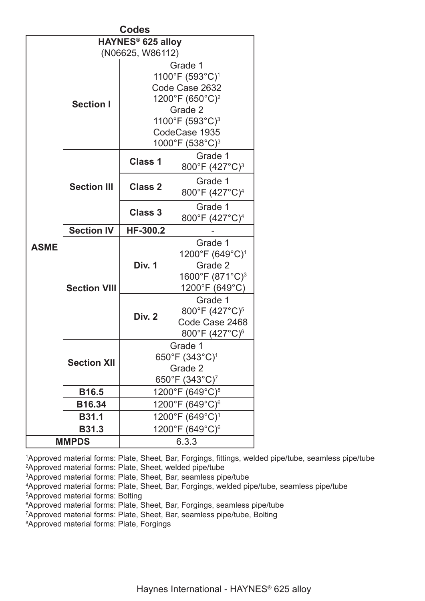| <b>Codes</b> |                     |                                                                                                                                                                                   |                                                                                                    |  |  |  |  |  |
|--------------|---------------------|-----------------------------------------------------------------------------------------------------------------------------------------------------------------------------------|----------------------------------------------------------------------------------------------------|--|--|--|--|--|
|              |                     | <b>HAYNES<sup>®</sup> 625 alloy</b>                                                                                                                                               |                                                                                                    |  |  |  |  |  |
|              |                     | (N06625, W86112)                                                                                                                                                                  |                                                                                                    |  |  |  |  |  |
|              | <b>Section I</b>    | Grade 1<br>1100°F (593°C) <sup>1</sup><br>Code Case 2632<br>1200°F (650°C) <sup>2</sup><br>Grade 2<br>1100°F (593°C) <sup>3</sup><br>CodeCase 1935<br>1000°F (538°C) <sup>3</sup> |                                                                                                    |  |  |  |  |  |
|              |                     | <b>Class 1</b>                                                                                                                                                                    | Grade 1<br>800°F (427°C) <sup>3</sup>                                                              |  |  |  |  |  |
|              | <b>Section III</b>  | <b>Class 2</b>                                                                                                                                                                    | Grade 1<br>800°F (427°C) <sup>4</sup>                                                              |  |  |  |  |  |
|              |                     | <b>Class 3</b>                                                                                                                                                                    | Grade 1<br>800°F (427°C) <sup>4</sup>                                                              |  |  |  |  |  |
|              | <b>Section IV</b>   | <b>HF-300.2</b>                                                                                                                                                                   |                                                                                                    |  |  |  |  |  |
| <b>ASME</b>  | <b>Section VIII</b> | <b>Div. 1</b>                                                                                                                                                                     | Grade 1<br>1200°F (649°C) <sup>1</sup><br>Grade 2<br>1600°F (871°C) <sup>3</sup><br>1200°F (649°C) |  |  |  |  |  |
|              |                     | <b>Div. 2</b>                                                                                                                                                                     | Grade 1<br>800°F (427°C) <sup>5</sup><br>Code Case 2468<br>800°F (427°C) <sup>6</sup>              |  |  |  |  |  |
|              | <b>Section XII</b>  | Grade 1<br>650°F (343°C) <sup>1</sup><br>Grade 2<br>650°F (343°C) <sup>7</sup>                                                                                                    |                                                                                                    |  |  |  |  |  |
|              | <b>B16.5</b>        |                                                                                                                                                                                   | 1200°F (649°C) <sup>8</sup>                                                                        |  |  |  |  |  |
|              | B16.34              |                                                                                                                                                                                   | 1200°F (649°C) <sup>6</sup>                                                                        |  |  |  |  |  |
|              | <b>B31.1</b>        |                                                                                                                                                                                   | 1200°F (649°C) <sup>1</sup>                                                                        |  |  |  |  |  |
|              | <b>B31.3</b>        |                                                                                                                                                                                   | 1200°F (649°C) <sup>6</sup>                                                                        |  |  |  |  |  |
|              | <b>MMPDS</b>        |                                                                                                                                                                                   | 6.3.3                                                                                              |  |  |  |  |  |

 Approved material forms: Plate, Sheet, Bar, Forgings, fittings, welded pipe/tube, seamless pipe/tube Approved material forms: Plate, Sheet, welded pipe/tube Approved material forms: Plate, Sheet, Bar, seamless pipe/tube Approved material forms: Plate, Sheet, Bar, Forgings, welded pipe/tube, seamless pipe/tube Approved material forms: Bolting Approved material forms: Plate, Sheet, Bar, Forgings, seamless pipe/tube Approved material forms: Plate, Sheet, Bar, seamless pipe/tube, Bolting Approved material forms: Plate, Forgings